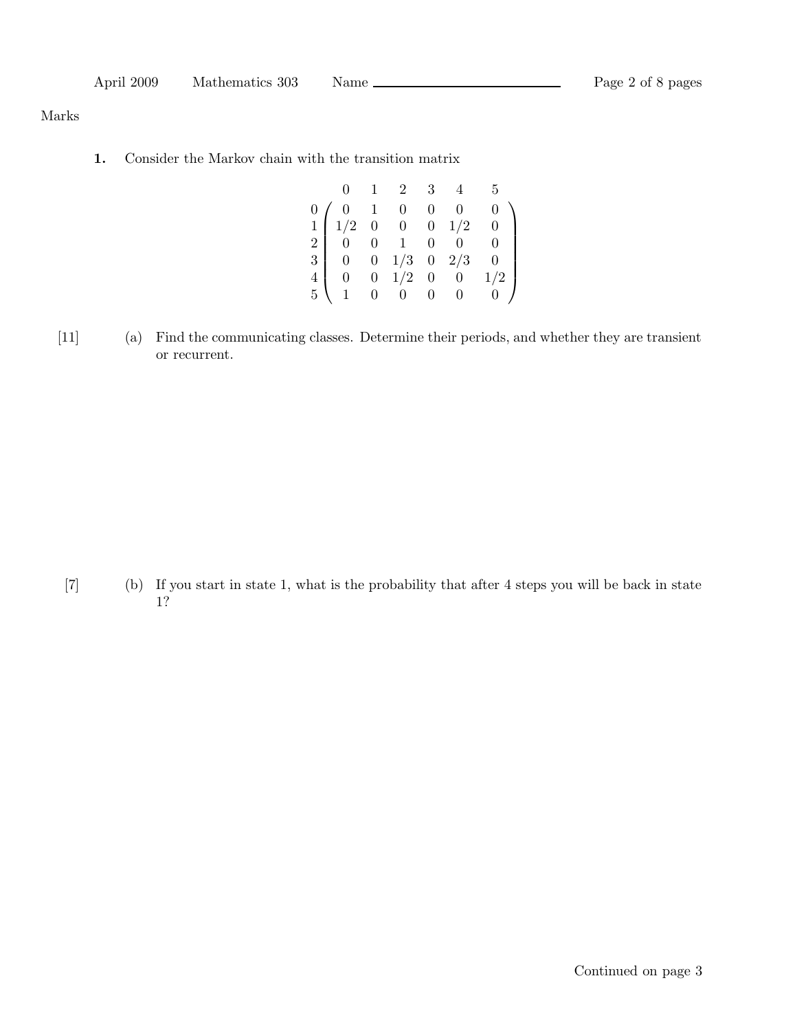Marks

1. Consider the Markov chain with the transition matrix

|                                                                                                                                                                                                  | $\overline{1}$ | 2 3 |  | 5              |
|--------------------------------------------------------------------------------------------------------------------------------------------------------------------------------------------------|----------------|-----|--|----------------|
| $\begin{array}{c cccc} 0 & 0 & 1 & 0 & 0 & 0 \\ 1 & 1/2 & 0 & 0 & 0 & 1/2 \\ 2 & 0 & 0 & 1 & 0 & 0 \\ 3 & 0 & 0 & 1/3 & 0 & 2/3 \\ 4 & 0 & 0 & 1/2 & 0 & 0 \\ 5 & 1 & 0 & 0 & 0 & 0 \end{array}$ |                |     |  |                |
|                                                                                                                                                                                                  |                |     |  | $\overline{0}$ |
|                                                                                                                                                                                                  |                |     |  | $\overline{0}$ |
|                                                                                                                                                                                                  |                |     |  | $\overline{0}$ |
|                                                                                                                                                                                                  |                |     |  | 1/2            |
|                                                                                                                                                                                                  |                |     |  | 0/             |

[11] (a) Find the communicating classes. Determine their periods, and whether they are transient or recurrent.

[7] (b) If you start in state 1, what is the probability that after 4 steps you will be back in state 1?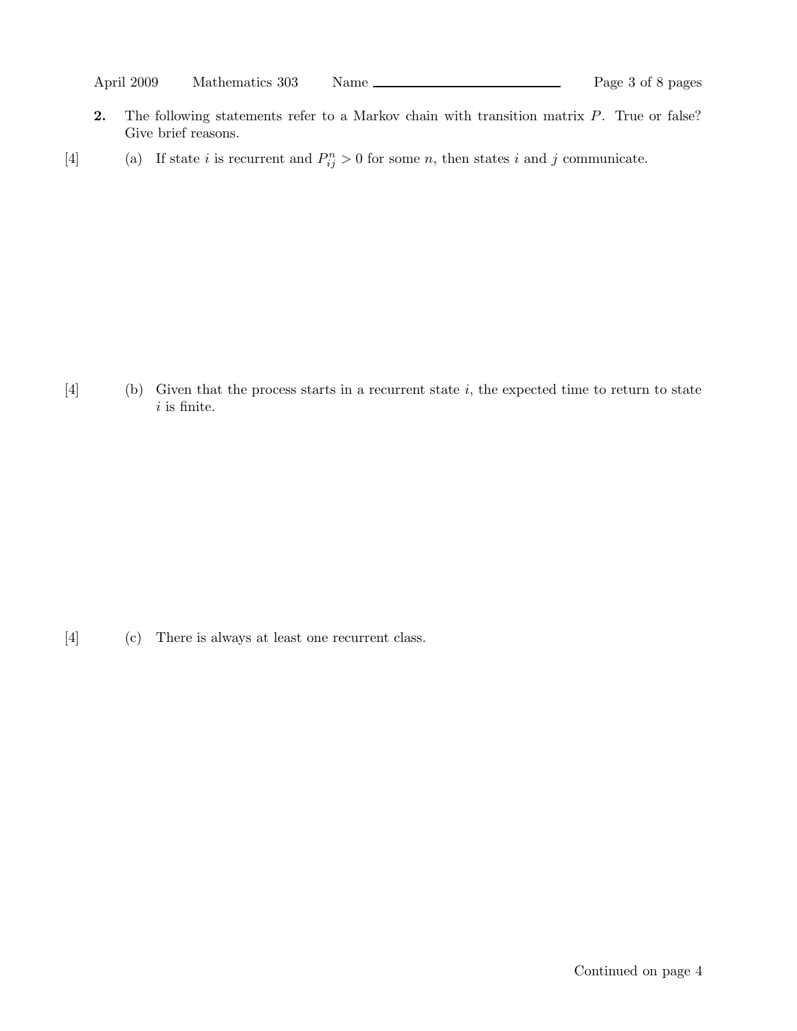- 2. The following statements refer to a Markov chain with transition matrix P. True or false? Give brief reasons.
- [4] (a) If state i is recurrent and  $P_{ij}^n > 0$  for some n, then states i and j communicate.

 $[4]$  (b) Given that the process starts in a recurrent state i, the expected time to return to state  $i$  is finite.

[4] (c) There is always at least one recurrent class.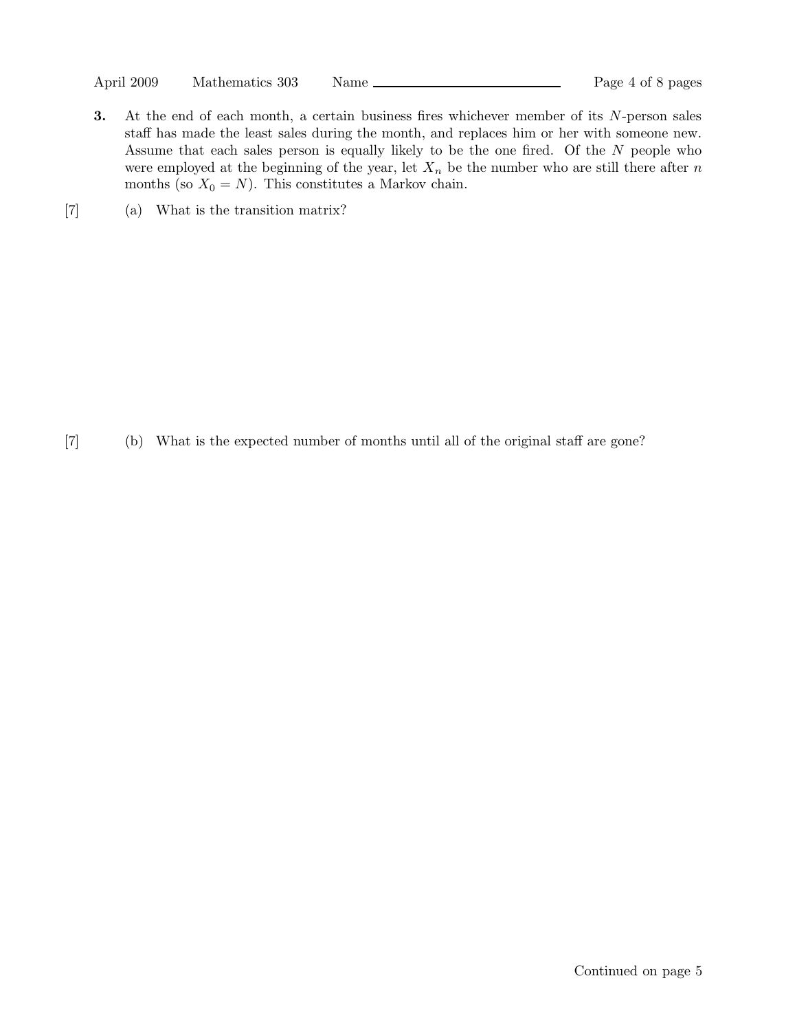April 2009 Mathematics 303 Name Page 4 of 8 pages

- 3. At the end of each month, a certain business fires whichever member of its N-person sales staff has made the least sales during the month, and replaces him or her with someone new. Assume that each sales person is equally likely to be the one fired. Of the N people who were employed at the beginning of the year, let  $X_n$  be the number who are still there after n months (so  $X_0 = N$ ). This constitutes a Markov chain.
- [7] (a) What is the transition matrix?

[7] (b) What is the expected number of months until all of the original staff are gone?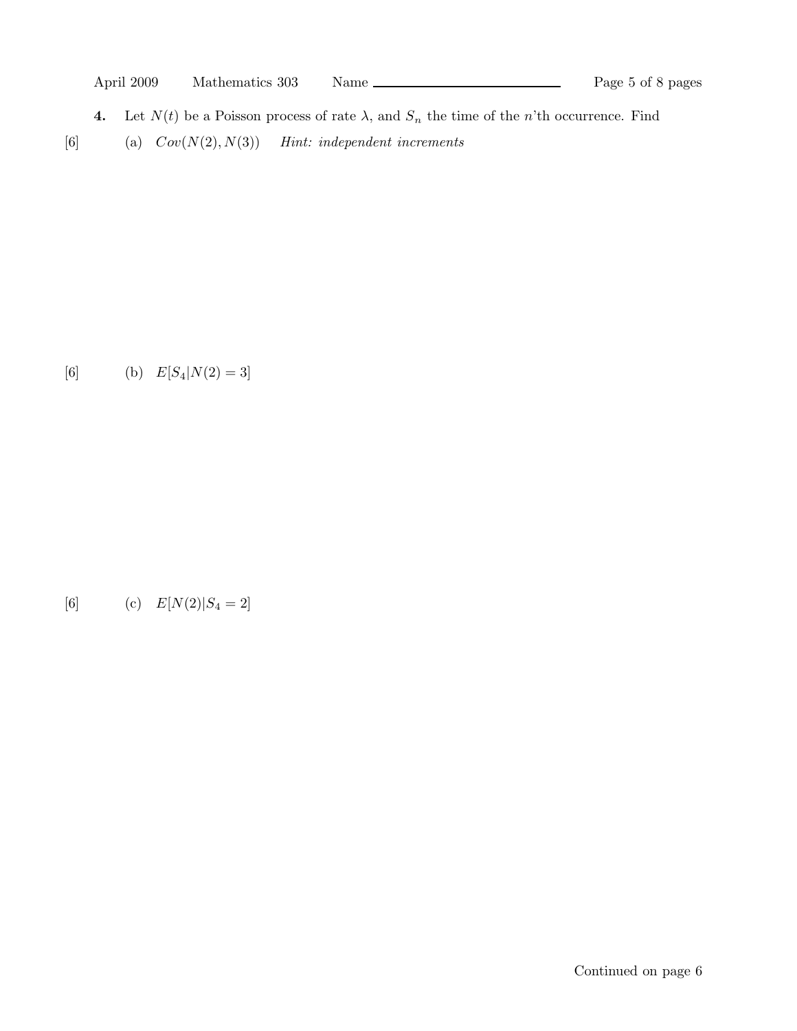- **4.** Let  $N(t)$  be a Poisson process of rate  $\lambda$ , and  $S_n$  the time of the n'th occurrence. Find
- [6] (a)  $Cov(N(2), N(3))$  Hint: independent increments

[6] (b)  $E[S_4|N(2) = 3]$ 

[6] (c) 
$$
E[N(2)|S_4 = 2]
$$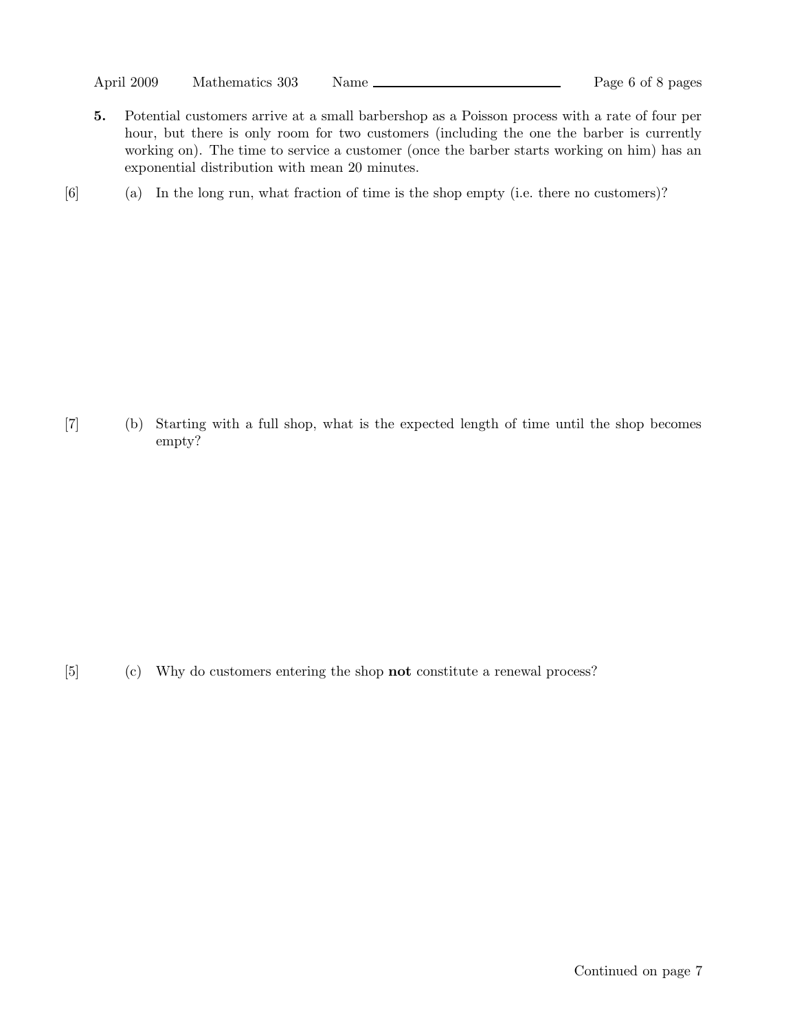April 2009 Mathematics 303 Name <u>Conserverse and Page 6 of 8 pages</u>

- 5. Potential customers arrive at a small barbershop as a Poisson process with a rate of four per hour, but there is only room for two customers (including the one the barber is currently working on). The time to service a customer (once the barber starts working on him) has an exponential distribution with mean 20 minutes.
- [6] (a) In the long run, what fraction of time is the shop empty (i.e. there no customers)?

[7] (b) Starting with a full shop, what is the expected length of time until the shop becomes empty?

[5] (c) Why do customers entering the shop not constitute a renewal process?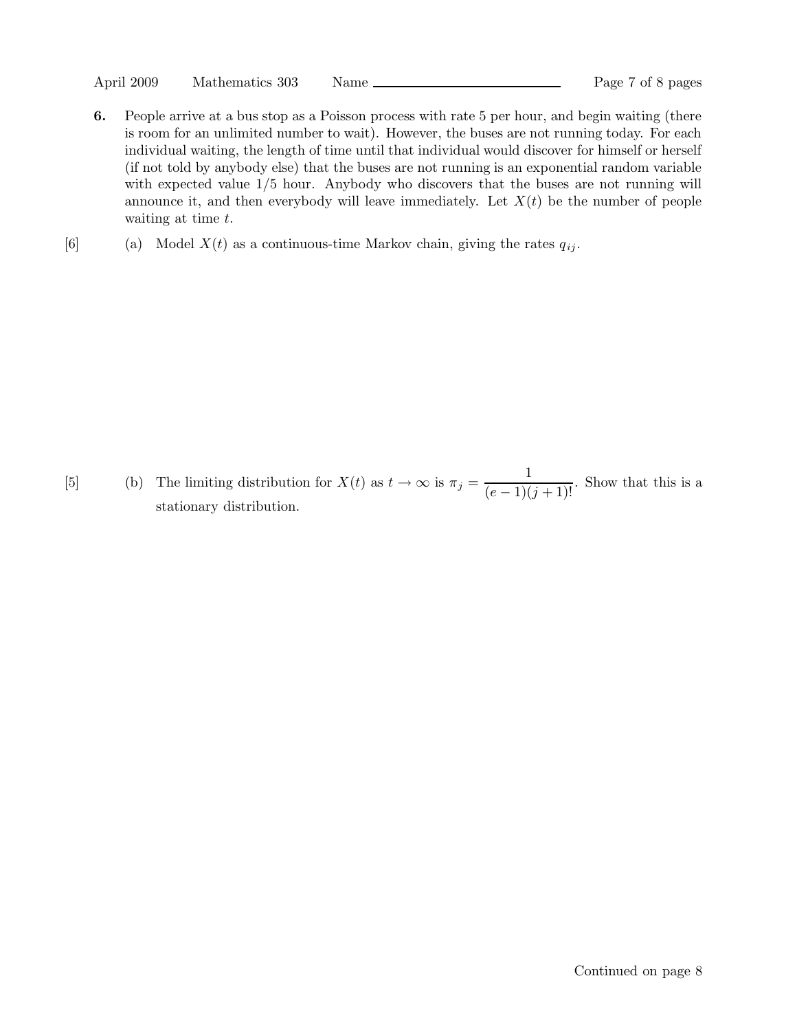April 2009 Mathematics 303 Name <u>Conserverse and Page 7</u> of 8 pages

- 6. People arrive at a bus stop as a Poisson process with rate 5 per hour, and begin waiting (there is room for an unlimited number to wait). However, the buses are not running today. For each individual waiting, the length of time until that individual would discover for himself or herself (if not told by anybody else) that the buses are not running is an exponential random variable with expected value  $1/5$  hour. Anybody who discovers that the buses are not running will announce it, and then everybody will leave immediately. Let  $X(t)$  be the number of people waiting at time t.
- [6] (a) Model  $X(t)$  as a continuous-time Markov chain, giving the rates  $q_{ij}$ .

[5] (b) The limiting distribution for  $X(t)$  as  $t \to \infty$  is  $\pi_j = \frac{1}{(e-1)(j+1)!}$ . Show that this is a stationary distribution.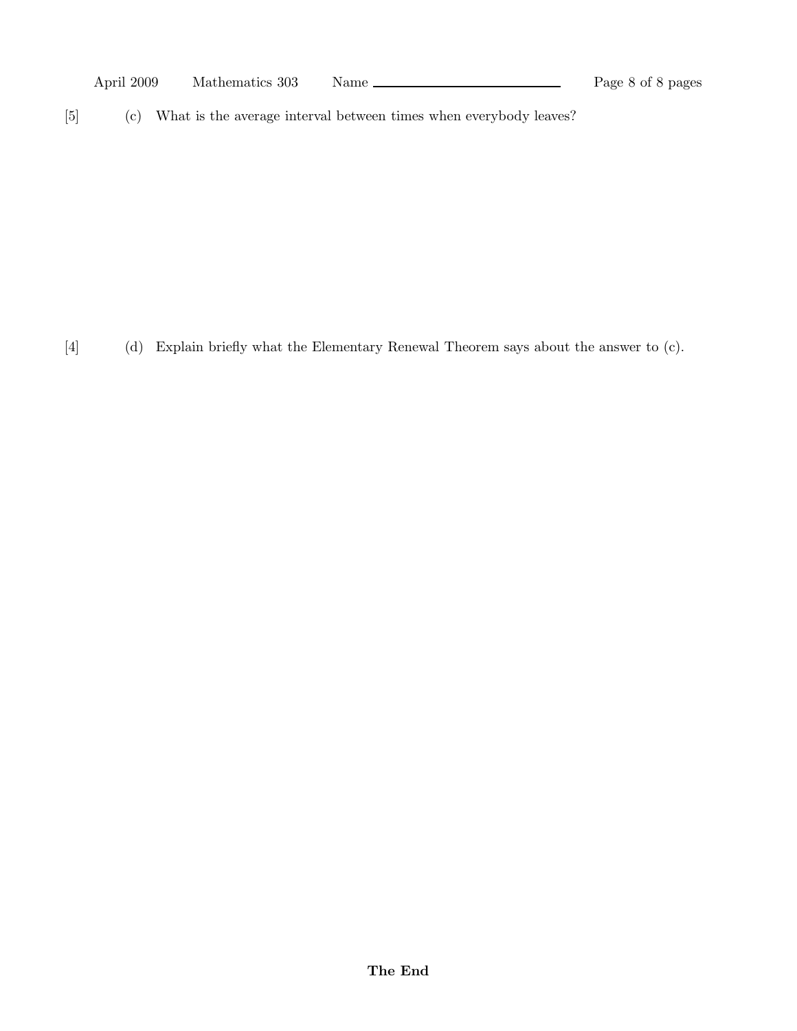[5] (c) What is the average interval between times when everybody leaves?

[4] (d) Explain briefly what the Elementary Renewal Theorem says about the answer to (c).